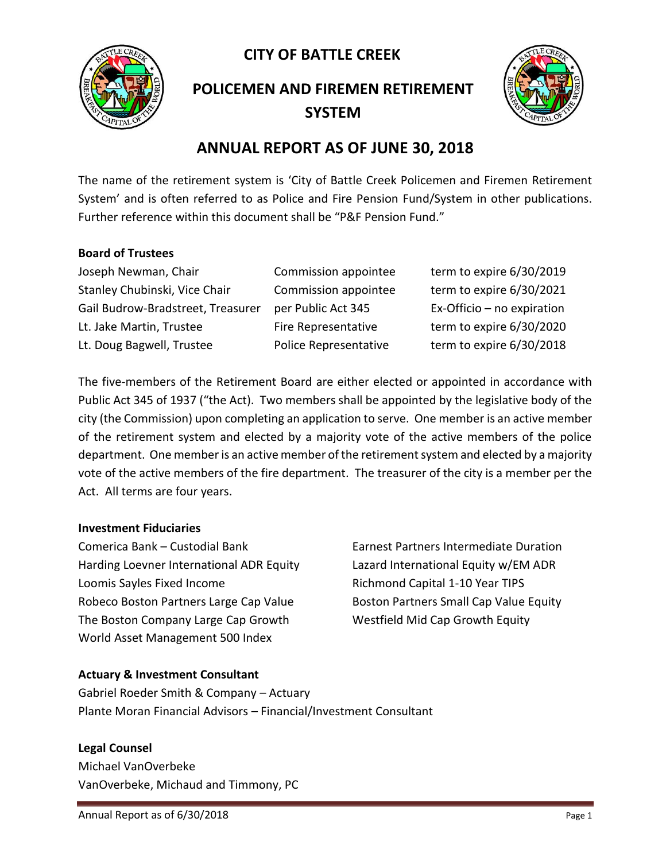**CITY OF BATTLE CREEK** 



**POLICEMEN AND FIREMEN RETIREMENT SYSTEM**



## **ANNUAL REPORT AS OF JUNE 30, 2018**

The name of the retirement system is 'City of Battle Creek Policemen and Firemen Retirement System' and is often referred to as Police and Fire Pension Fund/System in other publications. Further reference within this document shall be "P&F Pension Fund."

#### **Board of Trustees**

Joseph Newman, Chair Commission appointee term to expire 6/30/2019 Stanley Chubinski, Vice Chair Commission appointee term to expire 6/30/2021 Gail Budrow-Bradstreet, Treasurer per Public Act 345 Ex-Officio – no expiration Lt. Jake Martin, Trustee Fire Representative term to expire 6/30/2020 Lt. Doug Bagwell, Trustee Police Representative term to expire 6/30/2018

The five-members of the Retirement Board are either elected or appointed in accordance with Public Act 345 of 1937 ("the Act). Two members shall be appointed by the legislative body of the city (the Commission) upon completing an application to serve. One member is an active member of the retirement system and elected by a majority vote of the active members of the police department. One member is an active member of the retirement system and elected by a majority vote of the active members of the fire department. The treasurer of the city is a member per the Act. All terms are four years.

#### **Investment Fiduciaries**

Comerica Bank – Custodial Bank Earnest Partners Intermediate Duration Harding Loevner International ADR Equity Lazard International Equity w/EM ADR Loomis Sayles Fixed Income The Richmond Capital 1-10 Year TIPS Robeco Boston Partners Large Cap Value Boston Partners Small Cap Value Equity The Boston Company Large Cap Growth Westfield Mid Cap Growth Equity World Asset Management 500 Index

#### **Actuary & Investment Consultant**

Gabriel Roeder Smith & Company – Actuary Plante Moran Financial Advisors – Financial/Investment Consultant

#### **Legal Counsel**

Michael VanOverbeke VanOverbeke, Michaud and Timmony, PC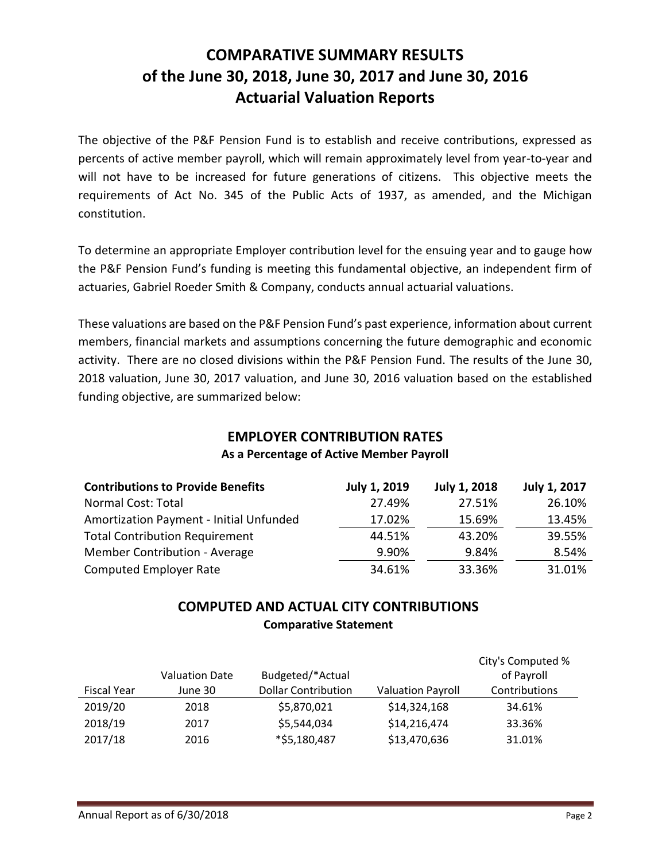# **COMPARATIVE SUMMARY RESULTS of the June 30, 2018, June 30, 2017 and June 30, 2016 Actuarial Valuation Reports**

The objective of the P&F Pension Fund is to establish and receive contributions, expressed as percents of active member payroll, which will remain approximately level from year-to-year and will not have to be increased for future generations of citizens. This objective meets the requirements of Act No. 345 of the Public Acts of 1937, as amended, and the Michigan constitution.

To determine an appropriate Employer contribution level for the ensuing year and to gauge how the P&F Pension Fund's funding is meeting this fundamental objective, an independent firm of actuaries, Gabriel Roeder Smith & Company, conducts annual actuarial valuations.

These valuations are based on the P&F Pension Fund's past experience, information about current members, financial markets and assumptions concerning the future demographic and economic activity. There are no closed divisions within the P&F Pension Fund. The results of the June 30, 2018 valuation, June 30, 2017 valuation, and June 30, 2016 valuation based on the established funding objective, are summarized below:

#### **EMPLOYER CONTRIBUTION RATES As a Percentage of Active Member Payroll**

| <b>Contributions to Provide Benefits</b> | <b>July 1, 2019</b> | <b>July 1, 2018</b> | July 1, 2017 |
|------------------------------------------|---------------------|---------------------|--------------|
| Normal Cost: Total                       | 27.49%              | 27.51%              | 26.10%       |
| Amortization Payment - Initial Unfunded  | 17.02%              | 15.69%              | 13.45%       |
| <b>Total Contribution Requirement</b>    | 44.51%              | 43.20%              | 39.55%       |
| Member Contribution - Average            | 9.90%               | 9.84%               | 8.54%        |
| <b>Computed Employer Rate</b>            | 34.61%              | 33.36%              | 31.01%       |

## **COMPUTED AND ACTUAL CITY CONTRIBUTIONS Comparative Statement**

|                    | <b>Valuation Date</b> | Budgeted/*Actual           |                          | City's Computed %<br>of Payroll |
|--------------------|-----------------------|----------------------------|--------------------------|---------------------------------|
| <b>Fiscal Year</b> | June 30               | <b>Dollar Contribution</b> | <b>Valuation Payroll</b> | Contributions                   |
| 2019/20            | 2018                  | \$5,870,021                | \$14,324,168             | 34.61%                          |
| 2018/19            | 2017                  | \$5,544,034                | \$14,216,474             | 33.36%                          |
| 2017/18            | 2016                  | *\$5,180,487               | \$13,470,636             | 31.01%                          |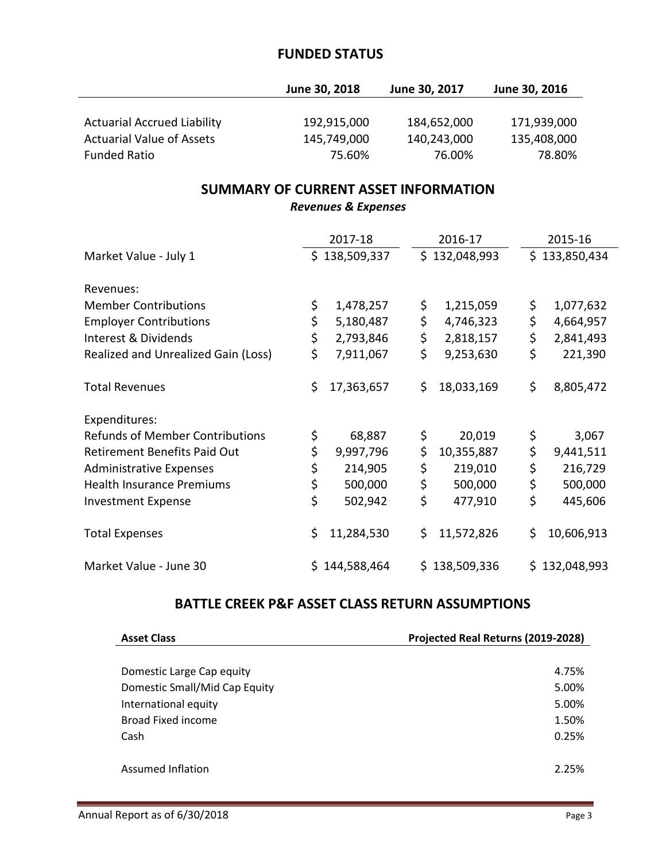#### **FUNDED STATUS**

|                                    | June 30, 2018 | June 30, 2017 | June 30, 2016 |
|------------------------------------|---------------|---------------|---------------|
|                                    |               |               |               |
| <b>Actuarial Accrued Liability</b> | 192,915,000   | 184,652,000   | 171,939,000   |
| <b>Actuarial Value of Assets</b>   | 145,749,000   | 140,243,000   | 135,408,000   |
| <b>Funded Ratio</b>                | 75.60%        | 76.00%        | 78.80%        |

## **SUMMARY OF CURRENT ASSET INFORMATION**

*Revenues & Expenses*

|                                        | 2017-18          | 2016-17          | 2015-16          |
|----------------------------------------|------------------|------------------|------------------|
| Market Value - July 1                  | \$138,509,337    | \$132,048,993    | \$133,850,434    |
| Revenues:                              |                  |                  |                  |
| <b>Member Contributions</b>            | \$<br>1,478,257  | \$<br>1,215,059  | \$<br>1,077,632  |
| <b>Employer Contributions</b>          | \$<br>5,180,487  | \$<br>4,746,323  | \$<br>4,664,957  |
| Interest & Dividends                   | \$<br>2,793,846  | \$<br>2,818,157  | \$<br>2,841,493  |
| Realized and Unrealized Gain (Loss)    | \$<br>7,911,067  | \$<br>9,253,630  | \$<br>221,390    |
| <b>Total Revenues</b>                  | \$<br>17,363,657 | \$<br>18,033,169 | \$<br>8,805,472  |
| Expenditures:                          |                  |                  |                  |
| <b>Refunds of Member Contributions</b> | \$<br>68,887     | \$<br>20,019     | \$<br>3,067      |
| <b>Retirement Benefits Paid Out</b>    | \$<br>9,997,796  | \$<br>10,355,887 | \$<br>9,441,511  |
| <b>Administrative Expenses</b>         | \$<br>214,905    | \$<br>219,010    | \$<br>216,729    |
| <b>Health Insurance Premiums</b>       | \$<br>500,000    | \$<br>500,000    | \$<br>500,000    |
| <b>Investment Expense</b>              | \$<br>502,942    | \$<br>477,910    | \$<br>445,606    |
| <b>Total Expenses</b>                  | \$<br>11,284,530 | \$<br>11,572,826 | \$<br>10,606,913 |
| Market Value - June 30                 | \$144,588,464    | \$138,509,336    | \$132,048,993    |

## **BATTLE CREEK P&F ASSET CLASS RETURN ASSUMPTIONS**

| <b>Asset Class</b>            | Projected Real Returns (2019-2028) |
|-------------------------------|------------------------------------|
|                               |                                    |
| Domestic Large Cap equity     | 4.75%                              |
| Domestic Small/Mid Cap Equity | 5.00%                              |
| International equity          | 5.00%                              |
| Broad Fixed income            | 1.50%                              |
| Cash                          | 0.25%                              |
|                               |                                    |
| Assumed Inflation             | 2.25%                              |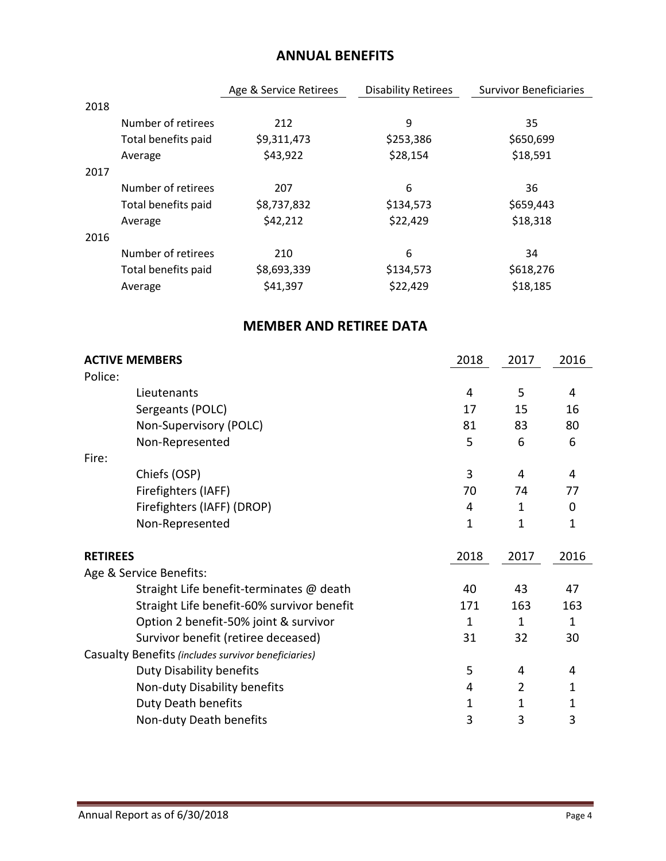## **ANNUAL BENEFITS**

|      |                     | Age & Service Retirees | <b>Disability Retirees</b> | <b>Survivor Beneficiaries</b> |
|------|---------------------|------------------------|----------------------------|-------------------------------|
| 2018 |                     |                        |                            |                               |
|      | Number of retirees  | 212                    | 9                          | 35                            |
|      | Total benefits paid | \$9,311,473            | \$253,386                  | \$650,699                     |
|      | Average             | \$43,922               | \$28,154                   | \$18,591                      |
| 2017 |                     |                        |                            |                               |
|      | Number of retirees  | 207                    | 6                          | 36                            |
|      | Total benefits paid | \$8,737,832            | \$134,573                  | \$659,443                     |
|      | Average             | \$42,212               | \$22,429                   | \$18,318                      |
| 2016 |                     |                        |                            |                               |
|      | Number of retirees  | 210                    | 6                          | 34                            |
|      | Total benefits paid | \$8,693,339            | \$134,573                  | \$618,276                     |
|      | Average             | \$41,397               | \$22,429                   | \$18,185                      |
|      |                     |                        |                            |                               |

## **MEMBER AND RETIREE DATA**

| <b>ACTIVE MEMBERS</b>                               | 2018 | 2017           | 2016         |
|-----------------------------------------------------|------|----------------|--------------|
| Police:<br>Lieutenants                              | 4    | 5              | 4            |
|                                                     |      |                |              |
| Sergeants (POLC)                                    | 17   | 15             | 16           |
| Non-Supervisory (POLC)                              | 81   | 83             | 80           |
| Non-Represented                                     | 5    | 6              | 6            |
| Fire:                                               |      |                |              |
| Chiefs (OSP)                                        | 3    | 4              | 4            |
| Firefighters (IAFF)                                 | 70   | 74             | 77           |
| Firefighters (IAFF) (DROP)                          | 4    | 1              | 0            |
| Non-Represented                                     | 1    | 1              | 1            |
| <b>RETIREES</b>                                     | 2018 | 2017           | 2016         |
| Age & Service Benefits:                             |      |                |              |
| Straight Life benefit-terminates @ death            | 40   | 43             | 47           |
| Straight Life benefit-60% survivor benefit          | 171  | 163            | 163          |
| Option 2 benefit-50% joint & survivor               | 1    | 1              | $\mathbf{1}$ |
| Survivor benefit (retiree deceased)                 | 31   | 32             | 30           |
| Casualty Benefits (includes survivor beneficiaries) |      |                |              |
| <b>Duty Disability benefits</b>                     | 5    | 4              | 4            |
| Non-duty Disability benefits                        | 4    | $\overline{2}$ | 1            |
| <b>Duty Death benefits</b>                          | 1    | 1              | 1            |
| Non-duty Death benefits                             | 3    | 3              | 3            |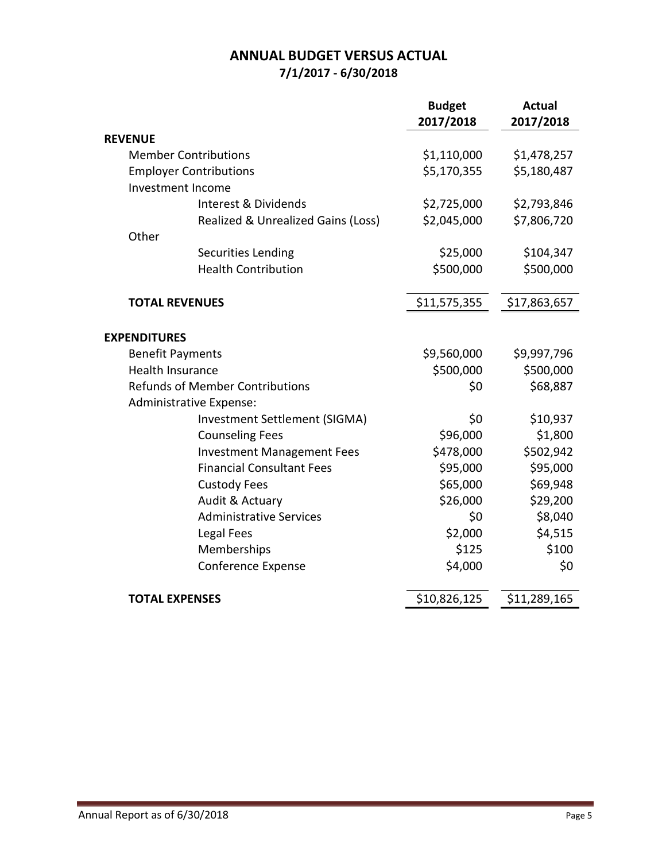## **ANNUAL BUDGET VERSUS ACTUAL 7/1/2017 - 6/30/2018**

|                                        | <b>Budget</b> | <b>Actual</b> |
|----------------------------------------|---------------|---------------|
|                                        | 2017/2018     | 2017/2018     |
| <b>REVENUE</b>                         |               |               |
| <b>Member Contributions</b>            | \$1,110,000   | \$1,478,257   |
| <b>Employer Contributions</b>          | \$5,170,355   | \$5,180,487   |
| Investment Income                      |               |               |
| Interest & Dividends                   | \$2,725,000   | \$2,793,846   |
| Realized & Unrealized Gains (Loss)     | \$2,045,000   | \$7,806,720   |
| Other                                  |               |               |
| <b>Securities Lending</b>              | \$25,000      | \$104,347     |
| <b>Health Contribution</b>             | \$500,000     | \$500,000     |
| <b>TOTAL REVENUES</b>                  | \$11,575,355  | \$17,863,657  |
|                                        |               |               |
| <b>EXPENDITURES</b>                    |               |               |
| <b>Benefit Payments</b>                | \$9,560,000   | \$9,997,796   |
| <b>Health Insurance</b>                | \$500,000     | \$500,000     |
| <b>Refunds of Member Contributions</b> | \$0           | \$68,887      |
| Administrative Expense:                |               |               |
| Investment Settlement (SIGMA)          | \$0           | \$10,937      |
| <b>Counseling Fees</b>                 | \$96,000      | \$1,800       |
| <b>Investment Management Fees</b>      | \$478,000     | \$502,942     |
| <b>Financial Consultant Fees</b>       | \$95,000      | \$95,000      |
| <b>Custody Fees</b>                    | \$65,000      | \$69,948      |
| Audit & Actuary                        | \$26,000      | \$29,200      |
| <b>Administrative Services</b>         | \$0           | \$8,040       |
| Legal Fees                             | \$2,000       | \$4,515       |
| Memberships                            | \$125         | \$100         |
| Conference Expense                     | \$4,000       | \$0           |
| <b>TOTAL EXPENSES</b>                  | \$10,826,125  | \$11,289,165  |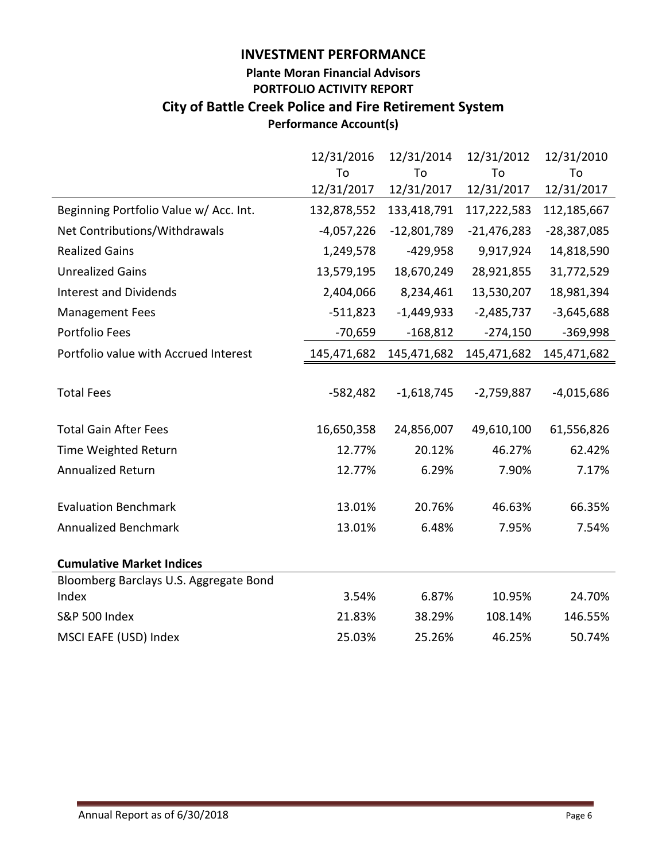#### **INVESTMENT PERFORMANCE**

## **Plante Moran Financial Advisors PORTFOLIO ACTIVITY REPORT City of Battle Creek Police and Fire Retirement System Performance Account(s)**

|                                        | 12/31/2016   | 12/31/2014    | 12/31/2012    | 12/31/2010    |
|----------------------------------------|--------------|---------------|---------------|---------------|
|                                        | To           | To            | To            | To            |
|                                        | 12/31/2017   | 12/31/2017    | 12/31/2017    | 12/31/2017    |
| Beginning Portfolio Value w/ Acc. Int. | 132,878,552  | 133,418,791   | 117,222,583   | 112,185,667   |
| Net Contributions/Withdrawals          | $-4,057,226$ | $-12,801,789$ | $-21,476,283$ | $-28,387,085$ |
| <b>Realized Gains</b>                  | 1,249,578    | $-429,958$    | 9,917,924     | 14,818,590    |
| <b>Unrealized Gains</b>                | 13,579,195   | 18,670,249    | 28,921,855    | 31,772,529    |
| <b>Interest and Dividends</b>          | 2,404,066    | 8,234,461     | 13,530,207    | 18,981,394    |
| <b>Management Fees</b>                 | $-511,823$   | $-1,449,933$  | $-2,485,737$  | $-3,645,688$  |
| Portfolio Fees                         | $-70,659$    | $-168,812$    | $-274,150$    | $-369,998$    |
| Portfolio value with Accrued Interest  | 145,471,682  | 145,471,682   | 145,471,682   | 145,471,682   |
|                                        |              |               |               |               |
| <b>Total Fees</b>                      | $-582,482$   | $-1,618,745$  | $-2,759,887$  | $-4,015,686$  |
| <b>Total Gain After Fees</b>           | 16,650,358   | 24,856,007    | 49,610,100    | 61,556,826    |
| Time Weighted Return                   | 12.77%       | 20.12%        | 46.27%        | 62.42%        |
| <b>Annualized Return</b>               | 12.77%       | 6.29%         | 7.90%         | 7.17%         |
| <b>Evaluation Benchmark</b>            | 13.01%       | 20.76%        | 46.63%        | 66.35%        |
|                                        |              |               |               |               |
| <b>Annualized Benchmark</b>            | 13.01%       | 6.48%         | 7.95%         | 7.54%         |
| <b>Cumulative Market Indices</b>       |              |               |               |               |
| Bloomberg Barclays U.S. Aggregate Bond |              |               |               |               |
| Index                                  | 3.54%        | 6.87%         | 10.95%        | 24.70%        |
| <b>S&amp;P 500 Index</b>               | 21.83%       | 38.29%        | 108.14%       | 146.55%       |
| MSCI EAFE (USD) Index                  | 25.03%       | 25.26%        | 46.25%        | 50.74%        |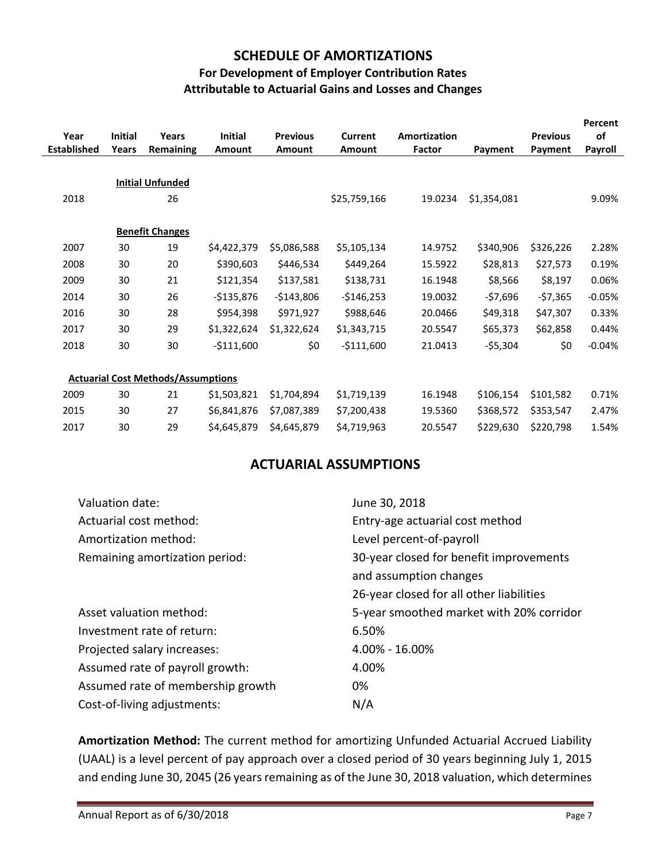## **SCHEDULE OF AMORTIZATIONS**

#### **For Development of Employer Contribution Rates Attributable to Actuarial Gains and Losses and Changes**

| Year<br><b>Established</b> | <b>Initial</b><br>Years | Years<br>Remaining                        | <b>Initial</b><br>Amount | <b>Previous</b><br><b>Amount</b> | Current<br><b>Amount</b> | Amortization<br>Factor | Payment     | <b>Previous</b><br>Payment | Percent<br>of<br>Payroll |
|----------------------------|-------------------------|-------------------------------------------|--------------------------|----------------------------------|--------------------------|------------------------|-------------|----------------------------|--------------------------|
|                            |                         |                                           |                          |                                  |                          |                        |             |                            |                          |
|                            |                         | <b>Initial Unfunded</b>                   |                          |                                  |                          |                        |             |                            |                          |
| 2018                       |                         | 26                                        |                          |                                  | \$25,759,166             | 19.0234                | \$1,354,081 |                            | 9.09%                    |
|                            |                         |                                           |                          |                                  |                          |                        |             |                            |                          |
|                            |                         | <b>Benefit Changes</b>                    |                          |                                  |                          |                        |             |                            |                          |
| 2007                       | 30                      | 19                                        | \$4,422,379              | \$5,086,588                      | \$5,105,134              | 14.9752                | \$340,906   | \$326,226                  | 2.28%                    |
| 2008                       | 30                      | 20                                        | \$390,603                | \$446,534                        | \$449,264                | 15.5922                | \$28,813    | \$27,573                   | 0.19%                    |
| 2009                       | 30                      | 21                                        | \$121,354                | \$137,581                        | \$138,731                | 16.1948                | \$8,566     | \$8,197                    | 0.06%                    |
| 2014                       | 30                      | 26                                        | $-$135,876$              | $-$143,806$                      | $-$146,253$              | 19.0032                | $-57,696$   | $-57,365$                  | $-0.05%$                 |
| 2016                       | 30                      | 28                                        | \$954,398                | \$971,927                        | \$988,646                | 20.0466                | \$49,318    | \$47,307                   | 0.33%                    |
| 2017                       | 30                      | 29                                        | \$1,322,624              | \$1,322,624                      | \$1,343,715              | 20.5547                | \$65,373    | \$62,858                   | 0.44%                    |
| 2018                       | 30                      | 30                                        | $-$111,600$              | \$0                              | $-$111,600$              | 21.0413                | -\$5,304    | \$0                        | $-0.04%$                 |
|                            |                         |                                           |                          |                                  |                          |                        |             |                            |                          |
|                            |                         | <b>Actuarial Cost Methods/Assumptions</b> |                          |                                  |                          |                        |             |                            |                          |
| 2009                       | 30                      | 21                                        | \$1,503,821              | \$1,704,894                      | \$1,719,139              | 16.1948                | \$106,154   | \$101,582                  | 0.71%                    |
| 2015                       | 30                      | 27                                        | \$6,841,876              | \$7,087,389                      | \$7,200,438              | 19.5360                | \$368,572   | \$353,547                  | 2.47%                    |
| 2017                       | 30                      | 29                                        | \$4,645,879              | \$4,645,879                      | \$4,719,963              | 20.5547                | \$229,630   | \$220,798                  | 1.54%                    |

## **ACTUARIAL ASSUMPTIONS**

| Valuation date:                   | June 30, 2018                            |
|-----------------------------------|------------------------------------------|
| Actuarial cost method:            | Entry-age actuarial cost method          |
| Amortization method:              | Level percent-of-payroll                 |
| Remaining amortization period:    | 30-year closed for benefit improvements  |
|                                   | and assumption changes                   |
|                                   | 26-year closed for all other liabilities |
| Asset valuation method:           | 5-year smoothed market with 20% corridor |
| Investment rate of return:        | 6.50%                                    |
| Projected salary increases:       | 4.00% - 16.00%                           |
| Assumed rate of payroll growth:   | 4.00%                                    |
| Assumed rate of membership growth | 0%                                       |
|                                   |                                          |

**Amortization Method:** The current method for amortizing Unfunded Actuarial Accrued Liability (UAAL) is a level percent of pay approach over a closed period of 30 years beginning July 1, 2015 and ending June 30, 2045 (26 years remaining as of the June 30, 2018 valuation, which determines